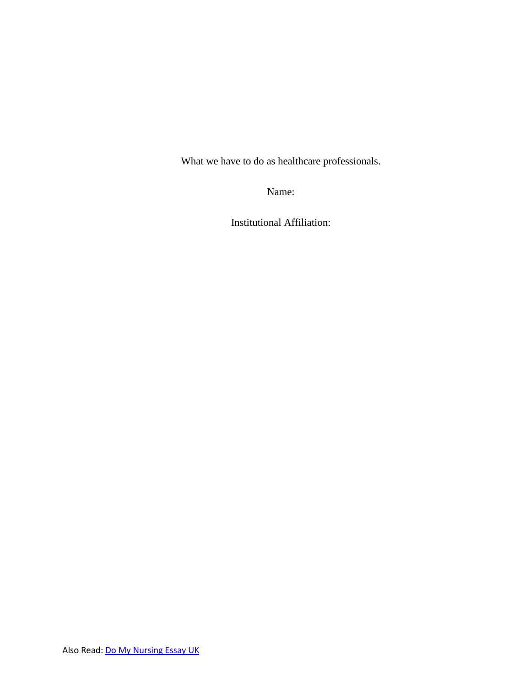What we have to do as healthcare professionals.

Name:

Institutional Affiliation: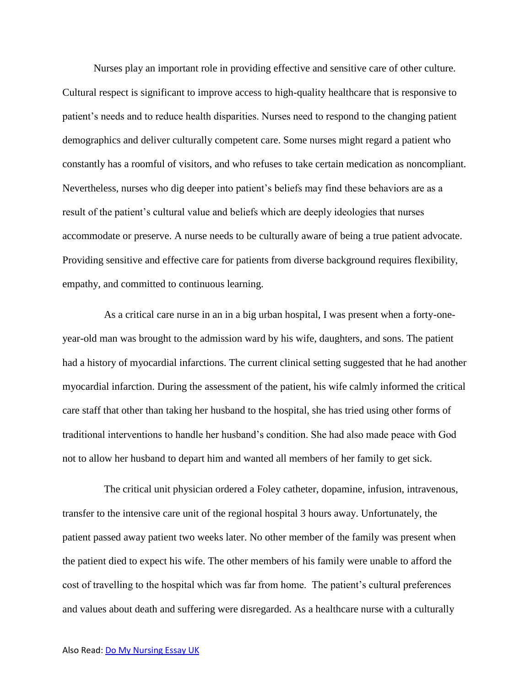Nurses play an important role in providing effective and sensitive care of other culture. Cultural respect is significant to improve access to high-quality healthcare that is responsive to patient's needs and to reduce health disparities. Nurses need to respond to the changing patient demographics and deliver culturally competent care. Some nurses might regard a patient who constantly has a roomful of visitors, and who refuses to take certain medication as noncompliant. Nevertheless, nurses who dig deeper into patient's beliefs may find these behaviors are as a result of the patient's cultural value and beliefs which are deeply ideologies that nurses accommodate or preserve. A nurse needs to be culturally aware of being a true patient advocate. Providing sensitive and effective care for patients from diverse background requires flexibility, empathy, and committed to continuous learning.

 As a critical care nurse in an in a big urban hospital, I was present when a forty-oneyear-old man was brought to the admission ward by his wife, daughters, and sons. The patient had a history of myocardial infarctions. The current clinical setting suggested that he had another myocardial infarction. During the assessment of the patient, his wife calmly informed the critical care staff that other than taking her husband to the hospital, she has tried using other forms of traditional interventions to handle her husband's condition. She had also made peace with God not to allow her husband to depart him and wanted all members of her family to get sick.

 The critical unit physician ordered a Foley catheter, dopamine, infusion, intravenous, transfer to the intensive care unit of the regional hospital 3 hours away. Unfortunately, the patient passed away patient two weeks later. No other member of the family was present when the patient died to expect his wife. The other members of his family were unable to afford the cost of travelling to the hospital which was far from home. The patient's cultural preferences and values about death and suffering were disregarded. As a healthcare nurse with a culturally